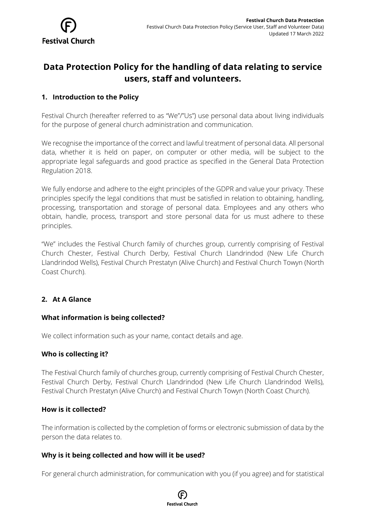# **Data Protection Policy for the handling of data relating to service users, staff and volunteers.**

# **1. Introduction to the Policy**

Festival Church (hereafter referred to as "We"/"Us") use personal data about living individuals for the purpose of general church administration and communication.

We recognise the importance of the correct and lawful treatment of personal data. All personal data, whether it is held on paper, on computer or other media, will be subject to the appropriate legal safeguards and good practice as specified in the General Data Protection Regulation 2018.

We fully endorse and adhere to the eight principles of the GDPR and value your privacy. These principles specify the legal conditions that must be satisfied in relation to obtaining, handling, processing, transportation and storage of personal data. Employees and any others who obtain, handle, process, transport and store personal data for us must adhere to these principles.

"We" includes the Festival Church family of churches group, currently comprising of Festival Church Chester, Festival Church Derby, Festival Church Llandrindod (New Life Church Llandrindod Wells), Festival Church Prestatyn (Alive Church) and Festival Church Towyn (North Coast Church).

# **2. At A Glance**

## **What information is being collected?**

We collect information such as your name, contact details and age.

## **Who is collecting it?**

The Festival Church family of churches group, currently comprising of Festival Church Chester, Festival Church Derby, Festival Church Llandrindod (New Life Church Llandrindod Wells), Festival Church Prestatyn (Alive Church) and Festival Church Towyn (North Coast Church).

## **How is it collected?**

The information is collected by the completion of forms or electronic submission of data by the person the data relates to.

## **Why is it being collected and how will it be used?**

For general church administration, for communication with you (if you agree) and for statistical

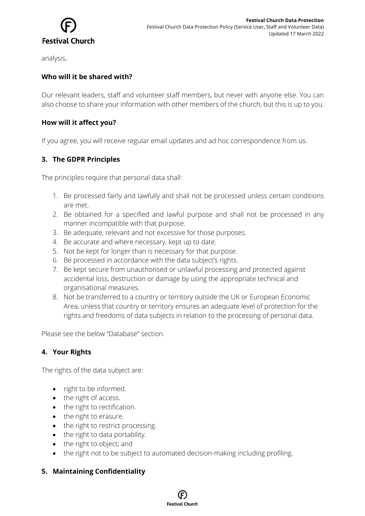

analysis.

## **Who will it be shared with?**

Our relevant leaders, staff and volunteer staff members, but never with anyone else. You can also choose to share your information with other members of the church, but this is up to you.

## **How will it affect you?**

If you agree, you will receive regular email updates and ad hoc correspondence from us.

# **3. The GDPR Principles**

The principles require that personal data shall:

- 1. Be processed fairly and lawfully and shall not be processed unless certain conditions are met.
- 2. Be obtained for a specified and lawful purpose and shall not be processed in any manner incompatible with that purpose.
- 3. Be adequate, relevant and not excessive for those purposes.
- 4. Be accurate and where necessary, kept up to date.
- 5. Not be kept for longer than is necessary for that purpose.
- 6. Be processed in accordance with the data subject's rights.
- 7. Be kept secure from unauthorised or unlawful processing and protected against accidental loss, destruction or damage by using the appropriate technical and organisational measures.
- 8. Not be transferred to a country or territory outside the UK or European Economic Area, unless that country or territory ensures an adequate level of protection for the rights and freedoms of data subjects in relation to the processing of personal data.

Please see the below "Database" section.

## **4. Your Rights**

The rights of the data subject are:

- right to be informed.
- the right of access.
- the right to rectification.
- the right to erasure.
- the right to restrict processing.
- the right to data portability.
- the right to object; and
- the right not to be subject to automated decision-making including profiling.

## **5. Maintaining Confidentiality**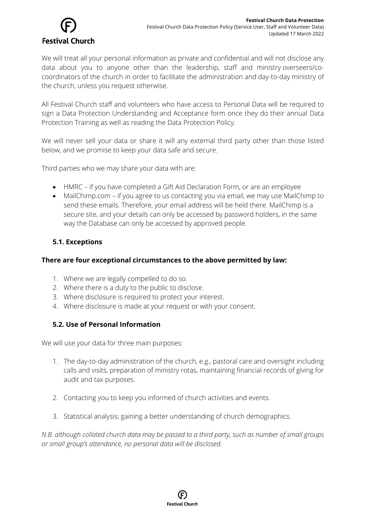

We will treat all your personal information as private and confidential and will not disclose any data about you to anyone other than the leadership, staff and ministry overseers/cocoordinators of the church in order to facilitate the administration and day-to-day ministry of the church, unless you request otherwise.

All Festival Church staff and volunteers who have access to Personal Data will be required to sign a Data Protection Understanding and Acceptance form once they do their annual Data Protection Training as well as reading the Data Protection Policy.

We will never sell your data or share it will any external third party other than those listed below, and we promise to keep your data safe and secure.

Third parties who we may share your data with are:

- HMRC if you have completed a Gift Aid Declaration Form, or are an employee
- MailChimp.com if you agree to us contacting you via email, we may use MailChimp to send these emails. Therefore, your email address will be held there. MailChimp is a secure site, and your details can only be accessed by password holders, in the same way the Database can only be accessed by approved people.

## **5.1. Exceptions**

## **There are four exceptional circumstances to the above permitted by law:**

- 1. Where we are legally compelled to do so.
- 2. Where there is a duty to the public to disclose.
- 3. Where disclosure is required to protect your interest.
- 4. Where disclosure is made at your request or with your consent.

# **5.2. Use of Personal Information**

We will use your data for three main purposes:

- 1. The day-to-day administration of the church, e.g., pastoral care and oversight including calls and visits, preparation of ministry rotas, maintaining financial records of giving for audit and tax purposes.
- 2. Contacting you to keep you informed of church activities and events.
- 3. Statistical analysis; gaining a better understanding of church demographics.

*N.B. although collated church data may be passed to a third party, such as number of small groups or small group's attendance, no personal data will be disclosed.*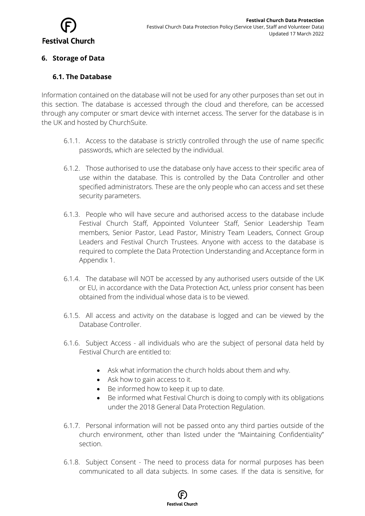

#### **6. Storage of Data**

#### **6.1. The Database**

Information contained on the database will not be used for any other purposes than set out in this section. The database is accessed through the cloud and therefore, can be accessed through any computer or smart device with internet access. The server for the database is in the UK and hosted by ChurchSuite.

- 6.1.1. Access to the database is strictly controlled through the use of name specific passwords, which are selected by the individual.
- 6.1.2. Those authorised to use the database only have access to their specific area of use within the database. This is controlled by the Data Controller and other specified administrators. These are the only people who can access and set these security parameters.
- 6.1.3. People who will have secure and authorised access to the database include Festival Church Staff, Appointed Volunteer Staff, Senior Leadership Team members, Senior Pastor, Lead Pastor, Ministry Team Leaders, Connect Group Leaders and Festival Church Trustees. Anyone with access to the database is required to complete the Data Protection Understanding and Acceptance form in Appendix 1.
- 6.1.4. The database will NOT be accessed by any authorised users outside of the UK or EU, in accordance with the Data Protection Act, unless prior consent has been obtained from the individual whose data is to be viewed.
- 6.1.5. All access and activity on the database is logged and can be viewed by the Database Controller.
- 6.1.6. Subject Access all individuals who are the subject of personal data held by Festival Church are entitled to:
	- Ask what information the church holds about them and why.
	- Ask how to gain access to it.
	- Be informed how to keep it up to date.
	- Be informed what Festival Church is doing to comply with its obligations under the 2018 General Data Protection Regulation.
- 6.1.7. Personal information will not be passed onto any third parties outside of the church environment, other than listed under the "Maintaining Confidentiality" section.
- 6.1.8. Subject Consent The need to process data for normal purposes has been communicated to all data subjects. In some cases. If the data is sensitive, for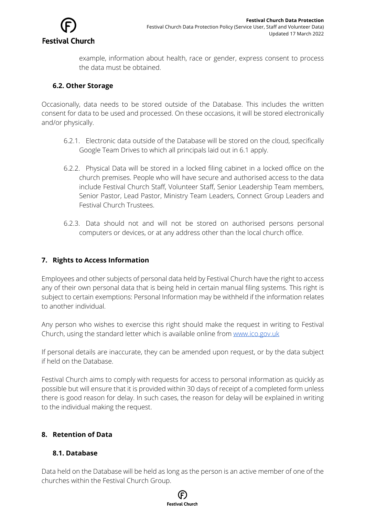

example, information about health, race or gender, express consent to process the data must be obtained.

#### **6.2. Other Storage**

Occasionally, data needs to be stored outside of the Database. This includes the written consent for data to be used and processed. On these occasions, it will be stored electronically and/or physically.

- 6.2.1. Electronic data outside of the Database will be stored on the cloud, specifically Google Team Drives to which all principals laid out in 6.1 apply.
- 6.2.2. Physical Data will be stored in a locked filing cabinet in a locked office on the church premises. People who will have secure and authorised access to the data include Festival Church Staff, Volunteer Staff, Senior Leadership Team members, Senior Pastor, Lead Pastor, Ministry Team Leaders, Connect Group Leaders and Festival Church Trustees.
- 6.2.3. Data should not and will not be stored on authorised persons personal computers or devices, or at any address other than the local church office.

#### **7. Rights to Access Information**

Employees and other subjects of personal data held by Festival Church have the right to access any of their own personal data that is being held in certain manual filing systems. This right is subject to certain exemptions: Personal Information may be withheld if the information relates to another individual.

Any person who wishes to exercise this right should make the request in writing to Festival Church, using the standard letter which is available online from www.ico.gov.uk

If personal details are inaccurate, they can be amended upon request, or by the data subject if held on the Database.

Festival Church aims to comply with requests for access to personal information as quickly as possible but will ensure that it is provided within 30 days of receipt of a completed form unless there is good reason for delay. In such cases, the reason for delay will be explained in writing to the individual making the request.

#### **8. Retention of Data**

## **8.1. Database**

Data held on the Database will be held as long as the person is an active member of one of the churches within the Festival Church Group.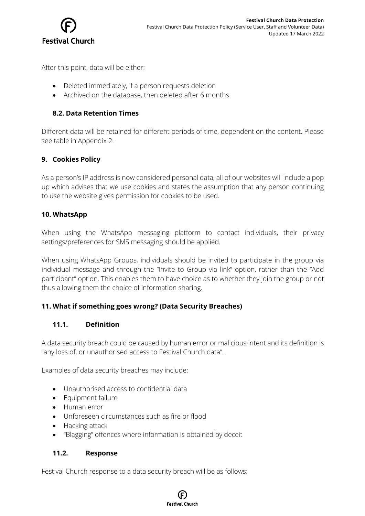

After this point, data will be either:

- Deleted immediately, if a person requests deletion
- Archived on the database, then deleted after 6 months

#### **8.2. Data Retention Times**

Different data will be retained for different periods of time, dependent on the content. Please see table in Appendix 2.

#### **9. Cookies Policy**

As a person's IP address is now considered personal data, all of our websites will include a pop up which advises that we use cookies and states the assumption that any person continuing to use the website gives permission for cookies to be used.

#### **10. WhatsApp**

When using the WhatsApp messaging platform to contact individuals, their privacy settings/preferences for SMS messaging should be applied.

When using WhatsApp Groups, individuals should be invited to participate in the group via individual message and through the "Invite to Group via link" option, rather than the "Add participant" option. This enables them to have choice as to whether they join the group or not thus allowing them the choice of information sharing.

#### **11. What if something goes wrong? (Data Security Breaches)**

#### **11.1. Definition**

A data security breach could be caused by human error or malicious intent and its definition is "any loss of, or unauthorised access to Festival Church data".

Examples of data security breaches may include:

- Unauthorised access to confidential data
- Equipment failure
- Human error
- Unforeseen circumstances such as fire or flood
- Hacking attack
- "Blagging" offences where information is obtained by deceit

#### **11.2. Response**

Festival Church response to a data security breach will be as follows:

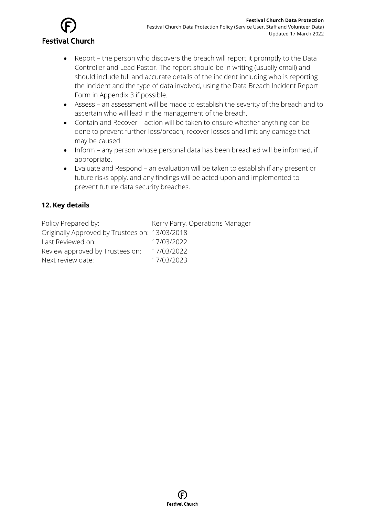

- Report the person who discovers the breach will report it promptly to the Data Controller and Lead Pastor. The report should be in writing (usually email) and should include full and accurate details of the incident including who is reporting the incident and the type of data involved, using the Data Breach Incident Report Form in Appendix 3 if possible.
- Assess an assessment will be made to establish the severity of the breach and to ascertain who will lead in the management of the breach.
- Contain and Recover action will be taken to ensure whether anything can be done to prevent further loss/breach, recover losses and limit any damage that may be caused.
- Inform any person whose personal data has been breached will be informed, if appropriate.
- Evaluate and Respond an evaluation will be taken to establish if any present or future risks apply, and any findings will be acted upon and implemented to prevent future data security breaches.

# **12. Key details**

| Policy Prepared by:                            | Kerry Parry, Operations Manager |
|------------------------------------------------|---------------------------------|
| Originally Approved by Trustees on: 13/03/2018 |                                 |
| Last Reviewed on:                              | 17/03/2022                      |
| Review approved by Trustees on:                | 17/03/2022                      |
| Next review date:                              | 17/03/2023                      |

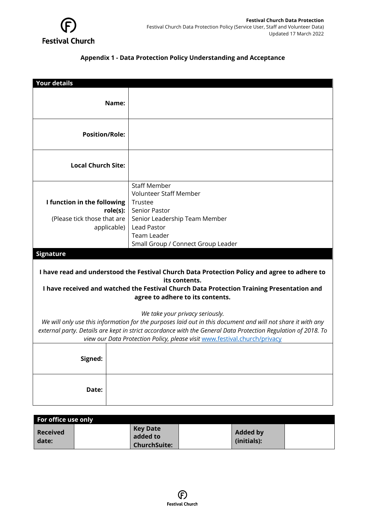

## **Appendix 1 - Data Protection Policy Understanding and Acceptance**

| <b>Your details</b>                                                                                                                                                                                                                                                                                                                          |                                                                                                                                                                                                            |  |  |  |  |
|----------------------------------------------------------------------------------------------------------------------------------------------------------------------------------------------------------------------------------------------------------------------------------------------------------------------------------------------|------------------------------------------------------------------------------------------------------------------------------------------------------------------------------------------------------------|--|--|--|--|
| Name:                                                                                                                                                                                                                                                                                                                                        |                                                                                                                                                                                                            |  |  |  |  |
| <b>Position/Role:</b>                                                                                                                                                                                                                                                                                                                        |                                                                                                                                                                                                            |  |  |  |  |
| <b>Local Church Site:</b>                                                                                                                                                                                                                                                                                                                    |                                                                                                                                                                                                            |  |  |  |  |
| I function in the following<br>role(s):<br>(Please tick those that are<br>applicable)                                                                                                                                                                                                                                                        | <b>Staff Member</b><br><b>Volunteer Staff Member</b><br>Trustee<br><b>Senior Pastor</b><br>Senior Leadership Team Member<br><b>Lead Pastor</b><br><b>Team Leader</b><br>Small Group / Connect Group Leader |  |  |  |  |
| <b>Signature</b>                                                                                                                                                                                                                                                                                                                             |                                                                                                                                                                                                            |  |  |  |  |
| I have read and understood the Festival Church Data Protection Policy and agree to adhere to<br>its contents.<br>I have received and watched the Festival Church Data Protection Training Presentation and<br>agree to adhere to its contents.                                                                                               |                                                                                                                                                                                                            |  |  |  |  |
| We take your privacy seriously.<br>We will only use this information for the purposes laid out in this document and will not share it with any<br>external party. Details are kept in strict accordance with the General Data Protection Regulation of 2018. To<br>view our Data Protection Policy, please visit www.festival.church/privacy |                                                                                                                                                                                                            |  |  |  |  |
| Signed:                                                                                                                                                                                                                                                                                                                                      |                                                                                                                                                                                                            |  |  |  |  |
| Date:                                                                                                                                                                                                                                                                                                                                        |                                                                                                                                                                                                            |  |  |  |  |

| For office use only      |                                                    |                                |  |
|--------------------------|----------------------------------------------------|--------------------------------|--|
| <b>Received</b><br>date: | <b>Key Date</b><br>added to<br><b>ChurchSuite:</b> | <b>Added by</b><br>(initials): |  |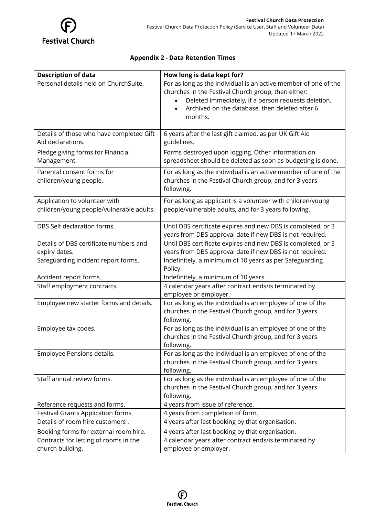

## **Appendix 2 - Data Retention Times**

| <b>Description of data</b>                                                                                        | How long is data kept for?                                                                                                                                    |
|-------------------------------------------------------------------------------------------------------------------|---------------------------------------------------------------------------------------------------------------------------------------------------------------|
| Personal details held on ChurchSuite.                                                                             | For as long as the individual is an active member of one of the                                                                                               |
|                                                                                                                   | churches in the Festival Church group, then either:                                                                                                           |
|                                                                                                                   | Deleted immediately, if a person requests deletion.                                                                                                           |
|                                                                                                                   | Archived on the database, then deleted after 6                                                                                                                |
|                                                                                                                   | months.                                                                                                                                                       |
|                                                                                                                   |                                                                                                                                                               |
| Details of those who have completed Gift                                                                          | 6 years after the last gift claimed, as per UK Gift Aid                                                                                                       |
| Aid declarations.                                                                                                 | guidelines.                                                                                                                                                   |
| Pledge giving forms for Financial                                                                                 | Forms destroyed upon logging. Other information on                                                                                                            |
| Management.                                                                                                       | spreadsheet should be deleted as soon as budgeting is done.                                                                                                   |
| Parental consent forms for                                                                                        | For as long as the individual is an active member of one of the                                                                                               |
| children/young people.                                                                                            | churches in the Festival Church group, and for 3 years                                                                                                        |
|                                                                                                                   | following.                                                                                                                                                    |
| Application to volunteer with                                                                                     | For as long as applicant is a volunteer with children/young                                                                                                   |
| children/young people/vulnerable adults.                                                                          | people/vulnerable adults, and for 3 years following.                                                                                                          |
|                                                                                                                   |                                                                                                                                                               |
| DBS Self declaration forms.                                                                                       | Until DBS certificate expires and new DBS is completed, or 3                                                                                                  |
|                                                                                                                   | years from DBS approval date if new DBS is not required.                                                                                                      |
| Details of DBS certificate numbers and                                                                            | Until DBS certificate expires and new DBS is completed, or 3                                                                                                  |
| expiry dates.                                                                                                     | years from DBS approval date if new DBS is not required.                                                                                                      |
| Safeguarding incident report forms.                                                                               | Indefinitely, a minimum of 10 years as per Safeguarding                                                                                                       |
|                                                                                                                   | Policy.                                                                                                                                                       |
| Accident report forms.                                                                                            | Indefinitely, a minimum of 10 years.                                                                                                                          |
| Staff employment contracts.                                                                                       | 4 calendar years after contract ends/is terminated by                                                                                                         |
|                                                                                                                   | employee or employer.                                                                                                                                         |
| Employee new starter forms and details.                                                                           | For as long as the individual is an employee of one of the                                                                                                    |
|                                                                                                                   | churches in the Festival Church group, and for 3 years                                                                                                        |
|                                                                                                                   | following.                                                                                                                                                    |
| Employee tax codes.                                                                                               | For as long as the individual is an employee of one of the                                                                                                    |
|                                                                                                                   | churches in the Festival Church group, and for 3 years                                                                                                        |
|                                                                                                                   | following.                                                                                                                                                    |
| Employee Pensions details.                                                                                        | For as long as the individual is an employee of one of the                                                                                                    |
|                                                                                                                   | churches in the Festival Church group, and for 3 years                                                                                                        |
| Staff annual review forms.                                                                                        | following.                                                                                                                                                    |
|                                                                                                                   | For as long as the individual is an employee of one of the<br>churches in the Festival Church group, and for 3 years                                          |
|                                                                                                                   | following.                                                                                                                                                    |
| Reference requests and forms.                                                                                     | 4 years from issue of reference.                                                                                                                              |
| Festival Grants Application forms.                                                                                | 4 years from completion of form.                                                                                                                              |
|                                                                                                                   |                                                                                                                                                               |
|                                                                                                                   |                                                                                                                                                               |
|                                                                                                                   |                                                                                                                                                               |
|                                                                                                                   |                                                                                                                                                               |
| Details of room hire customers.<br>Booking forms for external room hire.<br>Contracts for letting of rooms in the | 4 years after last booking by that organisation.<br>4 years after last booking by that organisation.<br>4 calendar years after contract ends/is terminated by |
| church building.                                                                                                  | employee or employer.                                                                                                                                         |